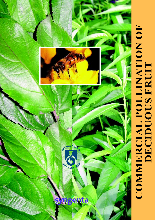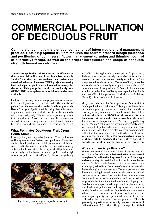# **COMMERCIAL POLLINATION OF DECIDUOUS FRUIT**

**Commercial pollination is a critical component of integrated orchard management practice. Obtaining optimal fruit set requires the correct orchard design (selection and positioning of pollinisers), flower management (pruning and thinning), control of alternative forage, as well as the proper introduction and usage of adequate strength honeybee colonies.**

**There is little published information or scientific data on the commercial pollination of deciduous fruit crops in South Africa. Most practices are based on experience and anecdotal evidence. A current DFPT project evaluating basic principles of pollination is intended to remedy this situation. This pamphlet should be used only as a GUIDELINE, to be updated as more information becomes available.**

Pollination is one step in a multi-stage process that culminates in the development of seed or fruit, and is **the transfer of pollen from the male anther to the female stigma of the flower**. The agents (pollinators) that bring about this transfer of pollen are varied and include insects, birds, mammals, wind, water and gravity. The two most important agents are insects and wind. Most fruit, seed and berry crops are dependent to a lesser or greater extent on insects, first and foremost **honeybees**, to ensure a fruit or seed set.

# **What Pollinates Deciduous Fruit Crops in South Africa?**

Insects typically are responsible for about 85% of pollination, and honeybees for about 80% of insect pollination. Honeybees are highly adapted as successful pollinators with bodies covered in finely-branched hairs that develop static electricity sufficient for the collection of as many as 40 000 pollen grains on the body, pollen baskets to collect pollen, and a high demand for pollen and nectar (Figure 1). Both nectar-gathering



**Fig. 1** *Honeybees are highly adapted as successful pollinators*

and pollen-gathering honeybees are important for pollination, the latter more so. Approximately one third of the foods which make up our total diet comes directly or indirectly from honeybee-pollinated crop plants. The value of fruit, vegetables and seeds resulting directly from pollination is about 150 times the value of bee products. In South Africa the value added to crops by the use of honeybees in paid pollination is in excess of R4 billion per annum of which almost R2 billion (Table 1) is from deciduous fruit crops.

Many growers believe that "other pollinators" are sufficient for the pollination of their crops. This might well have been true in days gone by but now insects other than honeybees play only a supplementary role in pollination. Recent data indicates that between **94-98% of all insect visitors to deciduous fruit trees in the Boland were honeybees**, and that honeybees made up more than 98% of actively pollinating insects. "Natural" pollinators are becoming increasingly scarce and unimportant, probably due to increasing habitat destruction and pesticide load. There are also no other "commercial" pollinators that can be used in South Africa, such as the leafcutter bees or bumblebees. **The deciduous fruit industry is almost totally dependent on a healthy honeybee population and a viable beekeeping industry.**

# **Why commercial pollination?**

There is extensive data on almost all deciduous fruit species and cultivarsthat indicate that **the introduction of commercial honeybees for pollination improves fruit set, fruit weight and fruit quality**. Successful pollination results in fertilization with the fertilised ovule developing into a seed comprising an embryo (derived from the fusion of one male nucleus with the female egg) and the endosperm. The endosperm nourishes the embryo during its development but also has a second and perhaps more important function, for it secretes hormones that control the growth of the embryo and the growth and shape of the fruit and the retention of the developing fruit. Seed hormones are particularly important in apples and pears, with inadequate pollination resulting in low seed numbers causing fruit drop and misshapen fruit. While it is not necessary to have ten seeds in every fruit, the more seeds produced the more export quality fruit produced, and the better the pollination the more seeds that are produced. **There is generally a positive relationship between successful pollination and: (a) fruit set; (b) percentage of fruit that**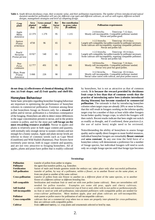Table 1. South African deciduous crops, their economic value, and their pollination requirements. The number of hives introduced and typical duration needed for pollination will vary for different crop types and different cultivars, as well as with region, different orchard *designs, management strategies and level of competing forage.*

| Crop<br>plant                         | <b>Area</b><br><b>planted</b><br>(ha) | <b>Gross annual</b><br>value<br>( <b>R</b> million) | <b>Bee</b><br>factor<br>$($ %) | <b>Bee contribution</b><br>to gross value<br>( <b>R</b> million) | <b>Pollination requirements</b>                                                                                                                                                                                         |  |  |  |  |  |  |  |  |  |  |
|---------------------------------------|---------------------------------------|-----------------------------------------------------|--------------------------------|------------------------------------------------------------------|-------------------------------------------------------------------------------------------------------------------------------------------------------------------------------------------------------------------------|--|--|--|--|--|--|--|--|--|--|
| Apple<br>Malus<br>domestica           | 22 379                                | 1 2 7 9                                             | 95                             | 1 2 1 5                                                          | 2-4 hives/ha.<br>Time/crop: 7-12 days.<br>Mostly self-incompatible. Compatible polliniser needed.<br>Nectar and pollen good.                                                                                            |  |  |  |  |  |  |  |  |  |  |
| Apricot<br><b>Prunus</b><br>armeniaca | 4738                                  | 96                                                  | 65                             | 62                                                               | Time/crop: $10-14$ days.<br>$1-2.5$ hives/ha.<br>Largely self-compatible, but pollen transfer by pollinator necessary.<br>Some cultivars self-incompatible, requiring compatible polliniser.<br>Nectar and pollen fair. |  |  |  |  |  |  |  |  |  |  |
| Peach/<br>Nectarine<br>Prunus persica | 10 927                                | 540                                                 | 65                             | 351                                                              | $1-2.5$ hives/ha. Time/crop: $10-14$ days.<br>Largely self-compatible, but pollen transfer by pollinator necessary.<br>Some cultivars self-incompatible, requiring compatible polliniser.<br>Nectar and pollen fair.    |  |  |  |  |  |  |  |  |  |  |
| Pear<br>P <sub>yrus</sub><br>communis | 12777                                 | 491                                                 | 95                             | 466                                                              | Time/crop: 7-14 days.<br>3-8 hives/ha.<br>Mostly self-incompatible. Compatible polliniser needed.<br>Nectar very poor but good pollen.                                                                                  |  |  |  |  |  |  |  |  |  |  |
| Plum, Prune<br>Prunus<br>domestica    | 5 0 6 0                               | 226                                                 | 90                             | 203                                                              | 3-12 hives/ha. Time/crop: 10-14 days.<br>Mostly self-incompatible. Compatible polliniser needed.<br>Nectar value varies with cultivar, and poor pollen source.                                                          |  |  |  |  |  |  |  |  |  |  |

**do not drop; (c) effectiveness of chemical thinning; (d) fruit size; (e) fruit shape; and (f) fruit quality and shelf-life.**

#### **Honeybee Behaviour**

Some basic principles regarding honeybee foraging behaviour are important in optimizing the performance of honeybee colonies in commercial pollination. Foremost among these is that honeybees forage on flowers only for a **reward** of pollen and/or nectar; pollination is a fortuitous consequence of the foraging. Honeybees are able to detect minor differences in the sugar concentration present in nectar, and in the protein content in pollen, and for the most part **will forage on the most rewarding resource available**. Nectar in apples and plums is relatively poor in both sugar content and quantity, with normally only enough nectar to sustain colonies and not enough for a honey surplus. Apple and plum nectar levels are inferior to those of common weeds such as Cape Weed (Gousblom) and Wild Radish (Ramenas). Pear flowers have extremely poor nectar, both in sugar content and quantity, and are not very attractive to foraging honeybees. All of apples, plums and pears have pollen that is readily collected

by honeybees, but is not as attractive as that of common weeds. **It is because the reward provided by deciduous fruit crops is less than that of common weeds that the practice of introducing naïve bees (colonies introduced during blossom) has become standard in commercial pollination**. The rationale is that by introducing honeybee colonies when target crops are already 20% or more in bloom, that this will result in foragers working on the inferior-quality target crop for a number of days at least while other foragers locate better quality forage crops, to which the foragers will then switch. Recent resultsindicate that bees might not switch as readily as thought, and if confirmed, these practices (i.e. the use of naïve bees) might need to be reviewed.

Notwithstanding the ability of honeybees to assess forage quality and to rapidly direct foragers to more fruitful resources. individual honeybee foragers are remarkably **flower constant** and **area constant**. At any one time the field force of a honeybee colony will demonstrate a preference for a number of forage species, but individual foragers will tend to work only on a single forage species until that forage type becomes

|                          | <b>TOT HUTTOLOG</b> Y                                                                                                                        |  |  |  |  |  |  |  |  |  |
|--------------------------|----------------------------------------------------------------------------------------------------------------------------------------------|--|--|--|--|--|--|--|--|--|
| <b>Pollination</b>       | transfer of pollen from anther to stigma.                                                                                                    |  |  |  |  |  |  |  |  |  |
| <b>Pollinator</b>        | the agent that transfers pollen, e.g. honeybee.                                                                                              |  |  |  |  |  |  |  |  |  |
| <b>Fertilization</b>     | fusion of male and female gametes inside the embryo sac; takes place only after successful pollination.                                      |  |  |  |  |  |  |  |  |  |
| <b>Self-pollination</b>  | transfer of pollen, by way of a pollinator, within a flower, or to another flower on the same plant, or                                      |  |  |  |  |  |  |  |  |  |
|                          | from one plant to another of the same cultivar.                                                                                              |  |  |  |  |  |  |  |  |  |
| <b>Cross-pollination</b> | transfer of pollen from one flower to another on a <i>different plant</i> of the same species, or to another                                 |  |  |  |  |  |  |  |  |  |
|                          | flower of a <i>different cultivar</i> or <i>different breeding line</i> .                                                                    |  |  |  |  |  |  |  |  |  |
| Self-compatible          | fertilization and resultant fruit or seed set with <i>own pollen</i> (same cultivar). Bees are nevertheless still                            |  |  |  |  |  |  |  |  |  |
|                          | needed for pollen transfer. Examples are some old pear, apple and cherry cultivars.                                                          |  |  |  |  |  |  |  |  |  |
| <b>Self-fruitful</b>     | a cultivar that sets and matures a <i>commercial crop</i> of fruit or seed, either with its <i>own pollen</i> or <i>parthenocarpically</i> . |  |  |  |  |  |  |  |  |  |
| Self-incompatible        | no fruit or seed set with self-pollination; inter-planted <i>pollinizers</i> with compatible pollen are needed for                           |  |  |  |  |  |  |  |  |  |
|                          | cross-cultivar pollination. Most modern apple, pear and plum cultivars are self-incompatible.                                                |  |  |  |  |  |  |  |  |  |
| <b>Polliniser</b>        | male parent or <i>pollen source</i> for pollination of self-incompatible cultivars.                                                          |  |  |  |  |  |  |  |  |  |
| <b>Cross-compatible</b>  | cultivars that set a commercial crop when two or more are properly <i>inter-planted for cross-pollination</i> ;                              |  |  |  |  |  |  |  |  |  |
|                          | they are cultivars with <i>compatible pollen</i> .                                                                                           |  |  |  |  |  |  |  |  |  |
| <b>Cultivar</b>          | from cultivated variety, i.e. crop plants and ornamentals selected or bred by man.                                                           |  |  |  |  |  |  |  |  |  |

#### **Terminology**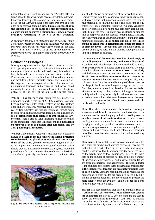unavailable or unrewarding, and will only "switch off" this forage if markedly better forage becomes available. Individual honeybee foragers will also tend to work in a small forage area of about 10m2, returning to the same tree or to adjacent ones on successive foraging trips. **This also means that in the repeated use of the same colonies for pollination, colonies should be moved a minimum of 3km, to prevent foragers returning to the old colony position.**

*In summary: Relatively few foragers from any colony will be active on the relatively poor quality deciduous fruit crop but those that there are will not readily leave. If they do, however, they will not easily return. All efforts at management to improve commercial pollination should bear these principles in mind.*

# **Pollination Principles**

Making arrangements for insect pollination is standard practice in the growing of many crops. Scientific information on the management practices to be followed is very limited and is largely based on experience and anecdotal evidence. Furthermore, there is very little local information available and most data is from temperate regions. The following are the suggested best management practices for commercial pollination in deciduous fruit orchards in South Africa, based on available information, and with the objective of optimal delivery of the correct pollen to the target crop.

When: It has generally been considered best practice to introduce honeybee colonies at 20-30% blossom. However, because flowers are often most receptive on the day that they open and are often only receptive for 2-3 days, and because recent data indicates that colonies require at least 24 hours to settle down and resume normal foraging after introduction, it is **recommended that colonies be introduced at 10% blossom**. There is also no value in keeping honeybee colonies in the orchard for longer than is needed, and **colonies should be removed as soon as possible after full bloom, and by 30% petal drop at the latest.**

**Where:** Conventional wisdom is that honeybee colonies should be **placed in the full sun or semi-shade, protected from the wind, and placed on stands of some sort to keep them off the damp ground**. Recent data suggests that this is less important than previously imagined. Common-sense should prevail. In extremely cold conditions, bees should be placed in the full sun; under very hot conditions, in the shade. Semi-shade is probably best for non-extreme conditions. The



**Fig. 2** *The type of hive material, and size of colony entrance, are most important*

site should always be dry and out of the prevailing wind. It is apparent that intra-hive conditions, in particular ventilation, will have a significant impact on foraging rates. The type of hive material used (marine-ply, pine) and size of the colony entrance are most important (Figure 2). A poorly ventilated or overly insulated hive might hive difficulty keeping cool in the heat of the day, resulting in bees clustering outside the hive to keep cool, and this reduces foraging rates. Similarly for overly ventilated or under-insulated hives during the early morning or evenings. **The condition and type of hives used should be considered in determining the optimum position to place the hives.** Also take into account the movement of people, animals, vehicles and the planned spray programme in the placement of colonies.

It is recommended that **colonies should be placed singly or in small groups of 2/3 colonies, and evenly distributed** around the orchard. Where possible, colonies should be placed **near pollinizers**, to facilitate cross-pollination. Colonies should be **placed at the end of rows of trees**, particularly with hedgerow systems, as bees forage down rows and are **10-30 times more likely to move to the next tree in the row than to move between rows**. Where possible, place colonies away from the immediate edge of the orchard, as this helps in the dispersal of foragers throughout the orchard. Colonies, however, should be placed no further than **100m of the target crop** as the numbers of foragers decreases rapidly with distance, especially in bad weather, and there should not be windbreaks between the colonies and the target crop. If rows are greater than 100m in length, colonies should be placed at both ends.

**How:** Honeybee colonies should be introduced **at night** whenever possible, or in bad weather conditions when no or a minimum of bees are foraging, and with **traveling screens or other means of adequate ventilation** to prevent overheating and to allow colonies to settle down and resume foraging as quickly as possible. Each time a colony is moved there are forager losses and a decrease in the strength of the colony and it is recommended that colonies are used **not more than three times** for deciduous fruit pollination during a season.

**How many:** It makes little sense to have hard and fast rules as regards the numbers of honeybee colonies needed for the pollination of a particular crop, as the numbers of foragers needed is influenced by the cultivar type, the age of the trees, by the weather and by local conditions. There is little hard data on the number of colonies needed, or the direct impact of increasing colony numbers, and most recommendations are based on experience and assumptions. The critical factor is the numbers of blossoms in the orchard, and ensuring that **sufficient honeybee foragers are present for multiple visits to each flower.** Standard recommendations regarding the numbers of colonies needed are presented in Table 1, but it should be remembered that the more colonies present the more foragers there are available, and it is better for a crop to be too heavy than too light.

**Waves:** It is recommended that difficult cultivars such as 'Packham's Triumph'receive **two waves of honeybee colonies for pollination**, the first at 10-20% blossom and the second at 60-70% blossom and no more than 7 dayslater. The rationale is that the "naïve foragers" of the first wave will work on the pear blossoms for only a few days and will then "switch-off"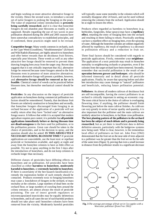and begin working on more attractive alternative forage in the vicinity. Hence the second wave, to introduce a second set of naïve foragers to prolong the foraging on the pears. The value of sequential colony introductions is **presently being carefully researched**, and it is clear that honeybee foragers do not abandon pear blossoms as readily as was supposed. Results regarding the use of two waves in pear pollination obtained during the 2004 and 2005 seasons have been somewhat contradictory to established principles, and if confirmed, these practices might need to be revised.

**Competitive forage:** Many weeds common in orchards, such as the Cape Weed (Gousblom), "bloublommetjies" (*Echium)* and Wild Radish (Ramenas), are highly attractive to honeybees and offer better rewards than do deciduous fruit flowers, especially pear blossom. These weeds as well as any other attractive bee forage should be removed to prevent them drawing foraging bees away from the target crop. Recent data suggests that it is not critically important that ALL alternative forage be removed because some foragers attend to the fruit blossoms even in presence of more attractive alternatives. Excessive alternative forage will present a problem, however, and **alternative forage should be removed as far as is feasible**. Chemical control of weeds can be practiced before blossom time, but thereafter mechanical control should be used.

**Pesticides:** In any discussion on the impact of pesticide application on honeybees during commercial pollination two factors should be remembered. Namely, that deciduous fruit flowers are relatively unattractive to honeybees and secondly, that honeybee foragers discouraged from foraging in an orchard because of the application of a pesticide will not readily return after they have "locked onto" an alternative forage source. It followsthat while it is accepted that modern agriculture requires pest control, it is probable that **all pesticide applications immediately before or during blossom time are disadvantageous** to the bees used for pollination, or to the pollination process. Great care should be taken in the choice of pesticides, and in the decision to spray, and the question should also be asked: **IS THIS ABSOLUTELY NECESSARY DURING BLOSSOM TIME?** If pesticide applications are unavoidable, use the least toxic or repellant pesticide or formulation available, and apply at night and away from the honeybee colonies to have as little effect as possible. Try not to spray anything in the first 3 days after the introduction of honeybees, and do not keep colonies in orchards longer than necessary.

Different classes of pesticides have differing effects on honeybees and on pollination. All pesticides have been classified as either **harmless to honeybees**, **moderately harmful to honeybees**, or **extremely harmful to honeybees**. If there is uncertainty of the bee hazard classification of a remedy the registration holder of such remedy should be contacted. Products extremely toxic to foraging honeybees may cause a knockdown of foragers in the orchard, or mass mortality at the colonies. Large numbers of dead bees on the orchard floor, or large numbers of crawling bees around the colony entrance, are almost always the result of pesticide poisoning. The use of insect growth regulators or microencapsulated insecticides may be equally deleterious to honeybees, and in all cases the use of such harmful products should not take place until honeybee colonies have been removed from the vicinity. Moderately harmful pesticides

will typically cause some mortality in the colonies which will normally disappear after 24 hours, and can be used without removing the colonies from the orchard. Application should be at night to lessen the effect.

Products often regarded as harmless to honeybees (e.g. herbicides, fungicides, foliar sprays) may have a **repellency effect**, retarding the entry of foraging bees into the orchard and resulting in them failing to return. Practically anything can have a repellent effect on foraging bees, even the spraying ofwater.Although the honeybee colonies are seldom negatively affected by repellency, the result of repellency is a decrease in pollination efficacy and a reduction in fruit set.

Three final factors should be considered with regards to pesticide applications. Firstly, remember your **neighbour**. The application of a toxic pesticide may result in honeybee mortality in neighbouring orchards or properties, even if the colonies from the target orchard have been removed. Secondly, remember that successful pollination is the result of **cooperation between grower and beekeeper**, who should be informed timeously and in detail about all pesticide applications. Finally, be aware that spraying before and after bee introduction may cause damage to "natural" pollinators and beneficials, reducing future pollination potential.

**Pollinisers**: As almost all modern cultivars of deciduous fruit are self-incompatible, having the correct pollinisers in an orchard is critically important in setting an economic crop. The most critical factor in the choice of cultivar is overlapping flowering time; if anything, the polliniser should finish flowering just before the main cultivar finishes. As cultivars can vary greatly in terms of nectar quality and quantity, it is also important that the polliniser and the main cultivar are similarly attractive to honeybees, to facilitate cross pollination. **The best planting pattern of the pollinisersin the orchard has been the subject of much debate and is presently being researched**, but as yet there is insufficient data to deliver definitive answers, particularly with the hedgerow systems now being used. What is clear, however, is the tremendous local effect of pollinisers on fruit set. John Free (1962) demonstrated that the fruit set on the near-side of trees adjacent to a polliniser was far greater than the fruit set on the far-side of the same trees(Figure 3), proving that even a small increase in distance from the polliniser results in a significant decrease



**Fig. 3** *The average percentage of fruit set in Cox apples with a Worcester polliniser (from Free 1962)*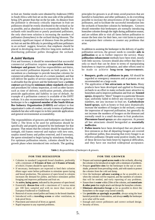in fruit set. Similar results were obtained by Anderson (1985) in South Africa with fruit set on the near-side of the polliniser being 22% greater than that on the far-side. As distance from the polliniser is obviously critically important in fruit set pollinisers should be evenly distributed in the orchard as far as possible, and as abundant as is economically feasible. For orchards with insufficient or poorly positioned pollinisers, the only short-term solution is increasing the numbers of pollinators (honeybees) in the orchard during blossom. The extremely significant impact of distance from the polliniser on fruit set and the difficulty in providing sufficient pollinisers in an orchard suggest, however, that emphasis should be placed in developing more effective long-term methods in distributing polliniser pollen throughout the orchard.

# **A Joint Venture**

First and foremost, it should be remembered that successful commercial pollination requires **co-operation between beekeeper and grower**. Each has responsibilities and duties, and successful pollination depends on both parties. It is incumbent on a beekeeper to provide honeybee colonies for commercial pollination that are of a certain standard, and that will deliver the quality of service expected by the grower. It is advisable that the grower and the beekeeper have a **written contract**specifying the **minimum colony standards** allowable and procedures for colony inspection, as well as other factors such as time of delivery, notification periods, allowable pesticide applications and liability in case of default. An example of a pollination contract is available of the DFPT website. It is also recommended that the grower requires the beekeeper to be a **registered member of the South African Bee Industry Organization (SABIO)** and subject to that organization's codes of conduct, not only in terms of pollination standards but also with respect to in-hive pesticide applications and general environmental accountability.

The responsibilities of growers and beekeepers are listed in Table 2. The hives to be used for pollination should be specifically and properly prepared by the beekeeper for that purpose. That means that the colonies should be equalized in strength, old frames removed and replace with new ones, surplus stored honey and pollen removed, and if necessary, the queen stimulated to begin laying by stimulatory feeding. For optimum pollination returns, colonies should be in a growth phase when introduced into orchards. The guiding

principles for growers is at all times avoid practices that are harmful to honeybees and other pollinators, to do everything possible to increase the attractiveness of the target crop to pollinators, and to facilitate the successful introduction into the orchards of honeybee colonies by beekeepers. Growers should remember that beekeepers are normally introducing honeybee colonies through the night during pollination season, and are seldom able to visit all farms before pollination to ensure the best sites for their bees, nor visit farms to protect or manipulate their colonies to counter any problems that arise.

In addition to assisting the beekeeper in the delivery of quality pollination services, the grower needs to consider **aids to pollination** so as to further improve the service. Many **pollination enhancement** methods have been tried, mostly with little success. Growers should also reflect that there is only so much that can be done in terms of manipulating honeybees to improve pollination, and other efforts need to be made to achieve **long-term improvements**.

- **> Bouquets**, **grafts** and **pollinisers in pots**. All should be regarded as emergency measures and at present are not recommended on a large scale.
- **>** The application of **bee attractants or bee lures.** Many products have been developed and applied to flowering orchards in an effort to make orchards more attractive to honeybees and to improve pollination and fruit set. **Scented sprays**, designed to "direct" foragers to a particular blossom type, uniformly failed to deliver any increase in forager numbers, nor any increase in fruit set. **Carbohydrate based sprays**, such as honey or fruit juice dramatically increase the numbers of foragers in the orchard, creating the impression of improved pollination, but generally do not increase the numbers of foragers on the blossom and normally result in a small decrease in fruit production. **Pheromone based sprays** are also unproven. At present all bee attractants should beregarded as **essentially ineffective**.
- **> Pollen inserts** have been developed that are placed on hive entrances so that all departing foragers are covered in polliniser pollen, thus ensuring that every forager is an effective pollinator. Despite some positive results, the use of these devices has been beset by logistical difficulties, and they have not reached widespread acceptance.

**Table 2.** *Responsibilities of beekeepers & growers.*

#### **FOR THE BEEKEEPER FOR THE GROWER**

- **>** Colonies in standard Langstroth brood chambers, preferably with a minimum of **8 frames of bees** and **4 frames of brood,** of which 2 frames should be open brood.
- **>** If necessary, beekeepers are expected to feed their colonies dilute sugar water before pollination to stimulate queen laying and brood production. The presence of open brood in colonies increases the demand for pollen, and hence stimulates pollen foraging and improves pollination and fruit set.
- **>** An **active, laying queen**, indicated by the presence of open brood.
- **>** Essentially **disease-free** with a maximum of 5 varroa mites per 100 bees sampled and with no more than traces of European Foulbrood or Chalkbrood.
- **>** Removal of excess stored pollen and honey in the brood chamber.
- **>** Introduced with a **traveling screen** or other ventilation, in leak-proof hives.
- **>** Placement and removal of hives as agreed.
- **>** Rapid response to any reported problems.

- Prepare and maintain **good access roads**to the orchards, allowing the colonies to be introduced at night with a minimum of problems.
- Prepare **good hive sites** for the beekeeper in the sun or semishade, protected from prevailing winds, and with stands to protect the colonies from the cold and damp.
- Give the beekeeper **advance warning** as far as possible as to when the colonies will be required, and the numbers of colonies that will be needed, and early reporting of any problems.
- **Ensure there is water** within 250m of the colonies, and **control ants & other pests** that might attack and disrupt the honeybee colonies.
- **Eliminate alternative forage** as far as possible to direct the honeybees to the target crop (weed control).
- Use **pesticides as sparingly as possible**, always using the least harmful pesticide or formulation, and always **notify** the beekeeper as to what will be used.
- Enough and correct pollinizers and correct orchard design.
- Security of hives.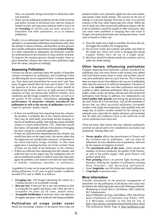They are presently being researched to determine their true potential.

**>** Many serious pollination problems are the result of nectar and pollen rewards in deciduous fruit cultivars being of limited reward, and long-term solutions need to focus on the **breeding** of cultivars that are more attractive to honeybees and other pollinators, so as to enhance pollination.

Finally, it is an unfortunate truth that in many cases a grower attempts to accommodate pollination requirements only when the orchard is almost in bloom, and that there are few growers that consider pollination requirements during **orchard design**. It is often impossible to adequately site honeybee colonies for pollination given the structure of many present orchards. To improve the situation growers should consider where to place honeybee colonies and where to have pollinisers right from the outset, and plan accordingly.

### **Assessing Pollination**

Growers are always concerned about the quality of honeybee colonies introduced for pollination, and wondering if they are delivering the service required of them. Common questions are, "how many bees should there be on my trees" and "how many foragers should there be from each colony?" As with the question as to how many colonies of bees should be introduced per hectare, there are no right answers to these questions as they are intrinsically linked to weather, local conditions and the forage available to the bees, as well as to the quality of the colonies. Nonetheless, **assessing the performance of honeybee colonies introduced for pollination as well as the success of pollination** should be a part of a growers' quality control.

- If there are insufficient bees departing from the colonies, the problem is probably due to the colonies themselves. They may be sited badly, preventing normal foraging, or may be of insufficient quality. Note that bee activity normally ceases or is much reduced below 15ºC. Dead bees around the colony will normally indicate if the absence of foraging has been caused by a pesticide application.
- If there are sufficient bees departing from the colonies, but insufficient bees on the target trees, this means either that the target trees are insufficiently attractive, or that there is too much alternative forage available, or that some application is keeping the bees out of the orchard. None of these are the fault of the beekeeper or the colonies.
- If there are sufficient bees departing from the colonies, and sufficient bees on the target crop, but inadequate fruit set and an insufficient number of seeds in most fruit, then once again the problem is not related to the bees but more likely to weather conditions, nutrients, or pollinisers.

A guideline of what can be expected from honeybee colonies during pollination, in all cases in good weather conditions (around 25ºC) and at 10h00, is as follows:

- **Foraging rate**: 120 foragers departing the colony in a 2 minute period is an acceptable average.
- **Bees per tree**: 6 bees per tree at any one moment in time is acceptable for apples and plums, and 3 bees per tree is acceptable for pears (in all cases, mature trees).
- **Acceptable fertilization**: 8 seeds per fruit is the objective for apples and pears, with 6 seeds per fruit being acceptable.

# **Pollination of crops under cover**

Small but increasing volumes of deciduous fruit crops are

produced under cover, primarily apples but also some plums, and mostly under shade netting. The reasons for the use of netting is to prevent damage from hail or rain, or to prevent sunburn of the fruit while improving fruit colour. While the use of shade nets does not provide pollinators (bees) with the scale of problems caused by tunnels or other enclosures, they can cause some problems to foraging bees and result in foragers becoming disoriented and causing bee losses. Good rules of thumb to follow are:

- 1) Have the shade net as high as possible; the lower the net, the bigger the problem for foraging bees.
- 2) Do not have nooks and crannies and gables and folds in the shade net, which will result in foraging bees being trapped. Rather have the net in a single plane.
- 3) Bee hives should be placed outside the orchards, and not under the shade netting.

# **Other factors influencing pollination**

Foragers departing from honeybee colonies introduced for pollination may visit every flower in the orchard, may indeed visit each flower twenty times or more, and yet there may be very poor pollination and very poor fruit set. This is because there are many factors that influence the success of pollination other than the presence of sufficient honeybees. Foremost of these is the **weather**; bees and other pollinators need good weather to affect optimum pollination. Rain can wash away pollen, winds can dry out nectar, and rain and cold can prevent pollinators from flying. In addition, low temperatures can **retard pollen tube growth**, preventing the germination of the seed. When all is said and done, with all the multitude of factors that can affect successful pollination, favourable weather is the single most important, with probably only one single day of perfect weather needed for the setting of an adequate crop, especially for apples and pears, and assuming that all other pre-conditions (such as the sufficient of the correct polliniser) have been met.

There are many other factors that may influence pollination and fruit set and all need to be considered in successful crop production. Among others are:

- **> Nectar quality** affects the attractiveness of flowers and the visitation rate by pollinators, and can often be influenced by trace elements such as potassium, and even by the amount of irrigation received.
- **>** The **nutritional state of the trees**, which dictate the numbers of flowers produced, the quality of the flowers, as well as the pollen supply. Only good flowers will produce good fruit.
- **> Poor pruning** which can prevent light reaching side branches, limiting the numbers of pollinators reaching these branches, and decreasing pollination.
- **>** Some **fungicides** can kill pollen and retard pollination.
- **> Crop loads** of previous years.

#### **More information**

Valuable information on the practical management of honeybees for the pollination of deciduous fruit crops may be found in the following books and on the following websites:

- *Beekeeping in South Africa*, 3rd Edition, 2001, edited by M F Johannsmeier
- *Insect Pollination of Crops*, 2nd Edition, 1993, John B Free
- *Insect Pollination of Cultivated Crop Plants*, 1976, S E McGregor, available in full and for free at <http://bee.airoot.com/beeculture/book/index.html>
- The pollination Home Page at <http://pollinator.com/>